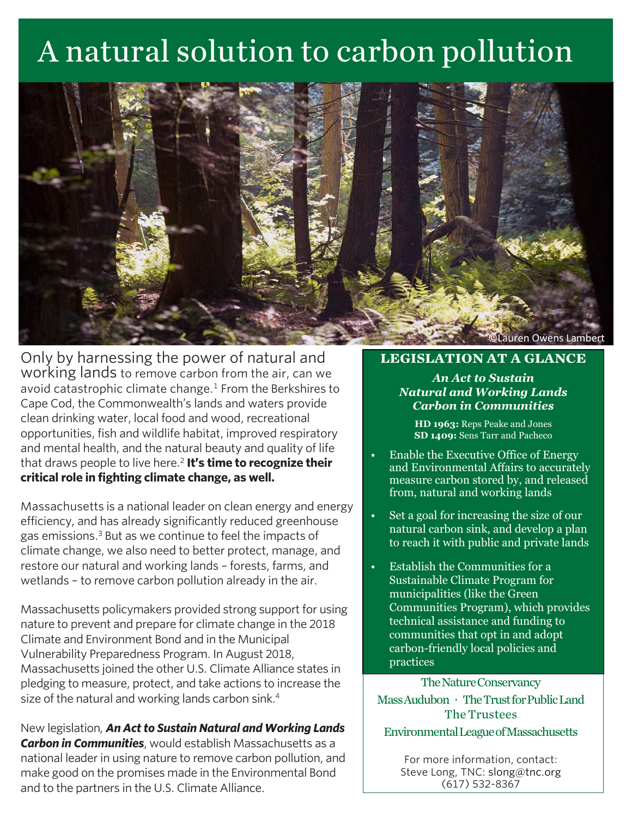# A natural solution to carbon pollution



Only by harnessing the power of natural and working lands to remove carbon from the air, can we avoid catastrophic climate change. $1$  From the Berkshires to Cape Cod, the Commonwealth's lands and waters provide clean drinking water, local food and wood, recreational opportunities, fish and wildlife habitat, improved respiratory and mental health, and the natural beauty and quality of life that draws people to live here.<sup>2</sup> **It's time to recognize their critical role in fighting climate change, as well.**

Massachusetts is a national leader on clean energy and energy efficiency, and has already significantly reduced greenhouse gas emissions.<sup>3</sup> But as we continue to feel the impacts of climate change, we also need to better protect, manage, and restore our natural and working lands – forests, farms, and wetlands – to remove carbon pollution already in the air.

Massachusetts policymakers provided strong support for using nature to prevent and prepare for climate change in the 2018 Climate and Environment Bond and in the Municipal Vulnerability Preparedness Program. In August 2018, Massachusetts joined the other U.S. Climate Alliance states in pledging to measure, protect, and take actions to increase the size of the natural and working lands carbon sink.<sup>4</sup>

New legislation*, An Act to Sustain Natural and Working Lands Carbon in Communities*, would establish Massachusetts as a national leader in using nature to remove carbon pollution, and make good on the promises made in the Environmental Bond and to the partners in the U.S. Climate Alliance.

# **LEGISLATION AT A GLANCE**

## *An Act to Sustain Natural and Working Lands Carbon in Communities*

**HD 1963:** Reps Peake and Jones **SD 1409:** Sens Tarr and Pacheco

- Enable the Executive Office of Energy and Environmental Affairs to accurately measure carbon stored by, and released from, natural and working lands
- Set a goal for increasing the size of our natural carbon sink, and develop a plan to reach it with public and private lands
- Establish the Communities for a Sustainable Climate Program for municipalities (like the Green Communities Program), which provides technical assistance and funding to communities that opt in and adopt carbon-friendly local policies and practices

The Nature Conservancy Mass Audubon · The Trust for Public Land The Trustees Environmental League of Massachusetts

> For more information, contact: Steve Long, TNC: slong@tnc.org (617) 532-8367